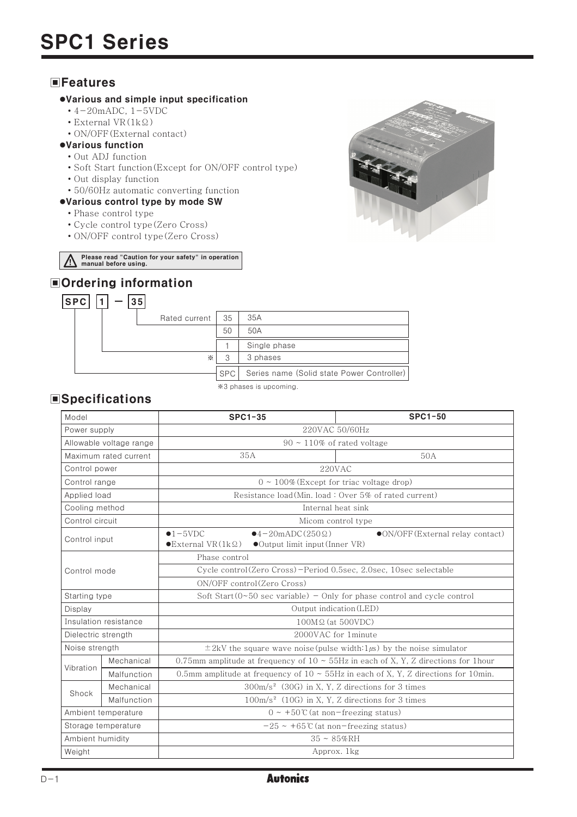## **EFeatures**

#### .Various and simple input specification

- $\cdot$  4-20mADC, 1-5VDC
- $\cdot$  External VR(1k $\Omega$ )
- ON/OFF (External contact)
- .Various function
	- Out ADJ function
	- Soft Start function (Except for ON/OFF control type)
	- Out display function
	- 50/60Hz automatic converting function
- .Various control type by mode SW
	- Phase control type
	- · Cycle control type (Zero Cross)
	- ON/OFF control type (Zero Cross)

Please read "Caution for your safety" in operation<br>manual before using.

# **■Ordering information**



\*3 phases is upcoming.

# **Specifications**

| Model                   |             | $SPC1-35$                                                                                                                                                                   | <b>SPC1-50</b>                                              |  |
|-------------------------|-------------|-----------------------------------------------------------------------------------------------------------------------------------------------------------------------------|-------------------------------------------------------------|--|
| Power supply            |             | 220VAC 50/60Hz                                                                                                                                                              |                                                             |  |
| Allowable voltage range |             | $90 \sim 110\%$ of rated voltage                                                                                                                                            |                                                             |  |
| Maximum rated current   |             | 35A                                                                                                                                                                         | 50A                                                         |  |
| Control power           |             | 220VAC                                                                                                                                                                      |                                                             |  |
| Control range           |             | $0 \sim 100\%$ (Except for triac voltage drop)                                                                                                                              |                                                             |  |
| Applied load            |             | Resistance load (Min. load: Over 5% of rated current)                                                                                                                       |                                                             |  |
| Cooling method          |             | Internal heat sink                                                                                                                                                          |                                                             |  |
| Control circuit         |             | Micom control type                                                                                                                                                          |                                                             |  |
| Control input           |             | $\bullet$ 1-5VDC<br>$\bullet$ 4-20mADC(250 $\Omega$ )<br>• ON/OFF (External relay contact)<br>$\bullet$ External VR $(1k\Omega)$<br>$\bullet$ Output limit input (Inner VR) |                                                             |  |
|                         |             | Phase control                                                                                                                                                               |                                                             |  |
| Control mode            |             | Cycle control(Zero Cross)-Period 0.5sec, 2.0sec, 10sec selectable                                                                                                           |                                                             |  |
|                         |             | ON/OFF control(Zero Cross)                                                                                                                                                  |                                                             |  |
| Starting type           |             | Soft Start ( $0 \sim 50$ sec variable) - Only for phase control and cycle control                                                                                           |                                                             |  |
| Display                 |             | Output indication (LED)                                                                                                                                                     |                                                             |  |
| Insulation resistance   |             | $100M\Omega$ (at 500VDC)                                                                                                                                                    |                                                             |  |
| Dielectric strength     |             | 2000VAC for 1minute                                                                                                                                                         |                                                             |  |
| Noise strength          |             | $\pm$ 2kV the square wave noise (pulse width: 1 $\mu$ s) by the noise simulator                                                                                             |                                                             |  |
| Vibration               | Mechanical  | 0.75mm amplitude at frequency of $10 \sim 55$ Hz in each of X, Y, Z directions for 1hour                                                                                    |                                                             |  |
|                         | Malfunction | 0.5mm amplitude at frequency of $10 \sim 55$ Hz in each of X, Y, Z directions for 10min.                                                                                    |                                                             |  |
| Shock                   | Mechanical  | $300 \text{m/s}^2$ (30G) in X, Y, Z directions for 3 times                                                                                                                  |                                                             |  |
|                         | Malfunction |                                                                                                                                                                             | 100m/s <sup>2</sup> (10G) in X, Y, Z directions for 3 times |  |
| Ambient temperature     |             | $0 \sim +50$ °C (at non-freezing status)                                                                                                                                    |                                                             |  |
| Storage temperature     |             | $-25 \sim +65$ °C (at non-freezing status)                                                                                                                                  |                                                             |  |
| Ambient humidity        |             | $35 \sim 85\%$ RH                                                                                                                                                           |                                                             |  |
| Weight                  |             | Approx. 1kg                                                                                                                                                                 |                                                             |  |



## **Autonics**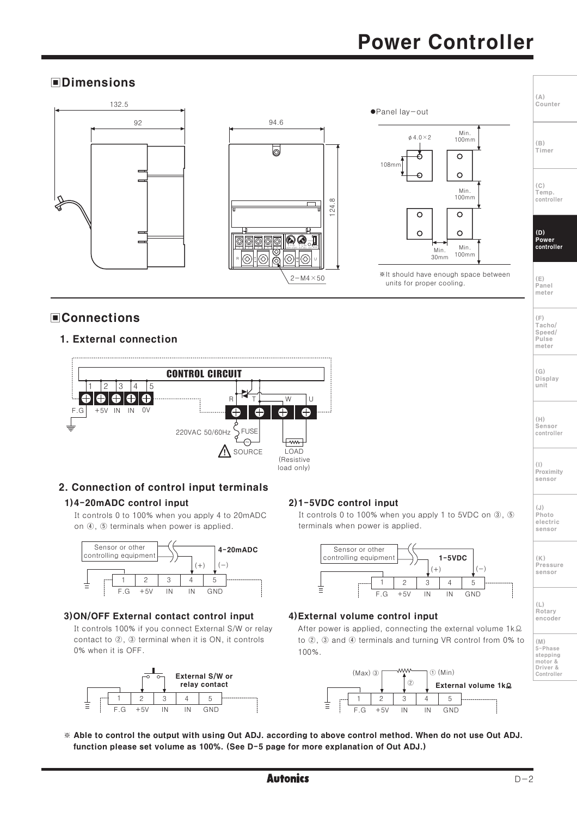# **Power Controller**

## **OD** Imensions



## **■Connections**

#### 1. External connection



## 2. Connection of control input terminals

#### 1)4-20mADC control input

It controls 0 to 100% when you apply 4 to 20mADC on 4, 5 terminals when power is applied.



#### 3) ON/OFF External contact control input

It controls 100% if you connect External S/W or relay contact to 2, 3 terminal when it is ON, it controls 0% when it is OFF.



## 2)1-5VDC control input

It controls 0 to 100% when you apply 1 to 5VDC on 3, 5 terminals when power is applied.



#### 4) External volume control input

After power is applied, connecting the external volume 1k.2 to 2, 3 and 4 terminals and turning VR control from 0% to 100%.



\* Able to control the output with using Out ADJ. according to above control method. When do not use Out ADJ. function please set volume as 100%. (See D-5 page for more explanation of Out ADJ.)

sensor Pressure sensor

 $(\mathop{\mathsf{F}})$ Tacho/ Speed/

 $PII$ ce meter

 $(G)$ Display

unit

 $(\mathbb{H})$ Sensor

 $(1)$ 

 $(.1)$ 

 $(K)$ 

Photo electric

controller

Proximity sensor

 $(L)$ Rotary<br>encoder

 $(M)$ 5-Phase stepping motor &<br>Driver &<br>Controller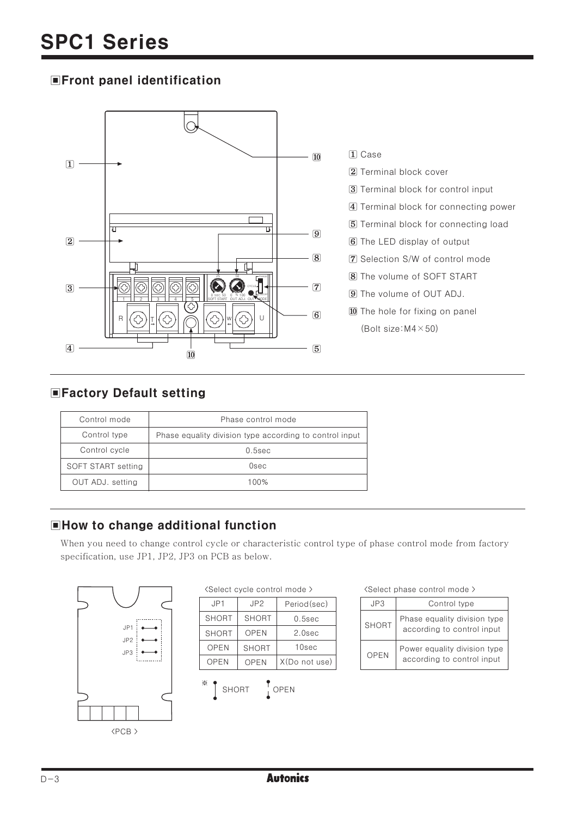## **EFront panel identification**



# **EFactory Default setting**

| Control mode       | Phase control mode                                      |  |
|--------------------|---------------------------------------------------------|--|
| Control type       | Phase equality division type according to control input |  |
| Control cycle      | $0.5$ sec                                               |  |
| SOFT START setting | Osec                                                    |  |
| OUT ADJ. setting   | 100%                                                    |  |

# **EHow to change additional function**

When you need to change control cycle or characteristic control type of phase control mode from factory specification, use JP1, JP2, JP3 on PCB as below.



|  | (Select cycle control mode) |  |
|--|-----------------------------|--|
|  |                             |  |

| JP1          | JP <sub>2</sub> | Period(sec)   |
|--------------|-----------------|---------------|
| <b>SHORT</b> | <b>SHORT</b>    | $0.5$ sec     |
| <b>SHORT</b> | OPEN            | 2.0sec        |
| <b>OPEN</b>  | <b>SHORT</b>    | 10sec         |
| <b>OPEN</b>  | OPEN            | X(Do not use) |
|              |                 |               |



#### <Select phase control mode >

| JP3          | Control type                                               |
|--------------|------------------------------------------------------------|
| <b>SHORT</b> | Phase equality division type<br>according to control input |
| OPEN         | Power equality division type<br>according to control input |

 $D-3$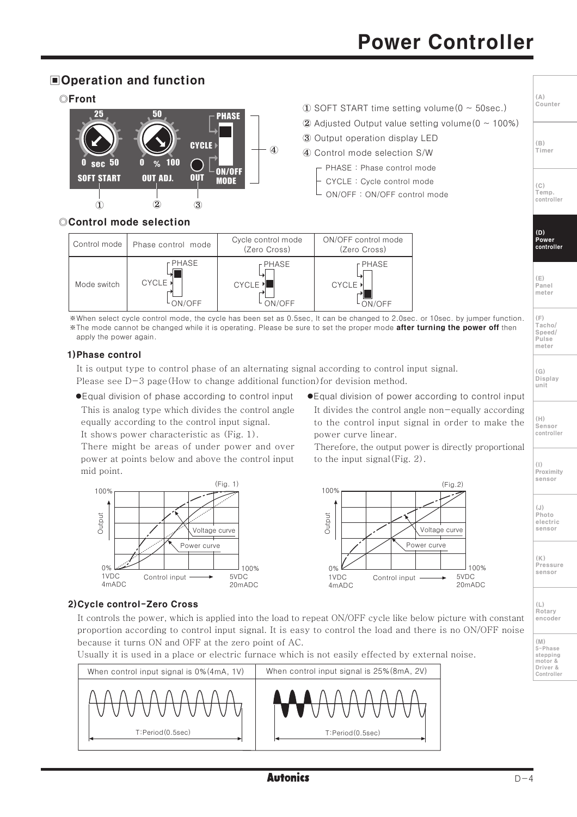# **Power Controller**

 $(A)$ 、、、<br>Counter

 $(\mathbb{R})$ 

 $(C)$ 

 $(D)$ Power<br>controller

 $(E)$ Panel meter

 $(\mathsf{F})$ ...<br>Tacho/

Speed/

 $PII$ ce meter

 $(G)$ Display

unit

 $(H)$ 

 $(1)$ 

 $(.1)$ 

Photo

electric

sensor

 $(K)$ Pressure

sensor

Proximity sensor

Sensor controller

Temp. controller

Timer

## **■Operation and function**



## ©Control mode selection

| Control mode | Phase control mode | Cycle control mode<br>(Zero Cross) | ON/OFF control mode<br>(Zero Cross) |
|--------------|--------------------|------------------------------------|-------------------------------------|
| Mode switch  | r PHASE            | r PHASE                            | r PHASE                             |
|              | <b>CYCLE</b> ▶     | <b>CYCLE</b>                       | CYCLE ▶                             |
|              | LON/OFF            | ON/OFF                             | ON/OFF                              |

\*When select cycle control mode, the cycle has been set as 0.5sec, It can be changed to 2.0sec. or 10sec. by jumper function. \*The mode cannot be changed while it is operating. Please be sure to set the proper mode **after turning the power off** then apply the power again.

#### 1) Phase control

It is output type to control phase of an alternating signal according to control input signal. Please see  $D-3$  page (How to change additional function) for devision method.

● Equal division of phase according to control input

This is analog type which divides the control angle equally according to the control input signal. It shows power characteristic as (Fig. 1).

There might be areas of under power and over power at points below and above the control input mid point.



## 2) Cycle control-Zero Cross

It controls the power, which is applied into the load to repeat ON/OFF cycle like below picture with constant proportion according to control input signal. It is easy to control the load and there is no ON/OFF noise because it turns ON and OFF at the zero point of AC.

Usually it is used in a place or electric furnace which is not easily effected by external noise.

| When control input signal is 0% (4mA, 1V) | When control input signal is 25% (8mA, 2V) |
|-------------------------------------------|--------------------------------------------|
| T:Period(0.5sec)                          | <b>IV</b><br>T:Period(0.5sec)              |

● Equal division of power according to control input It divides the control angle non-equally according to the control input signal in order to make the power curve linear.

Therefore, the output power is directly proportional to the input signal  $(Fig. 2)$ .



 $(L)$ Rotary encoder

 $(M)$ 5-Phase stepping motor &<br>Driver & Controller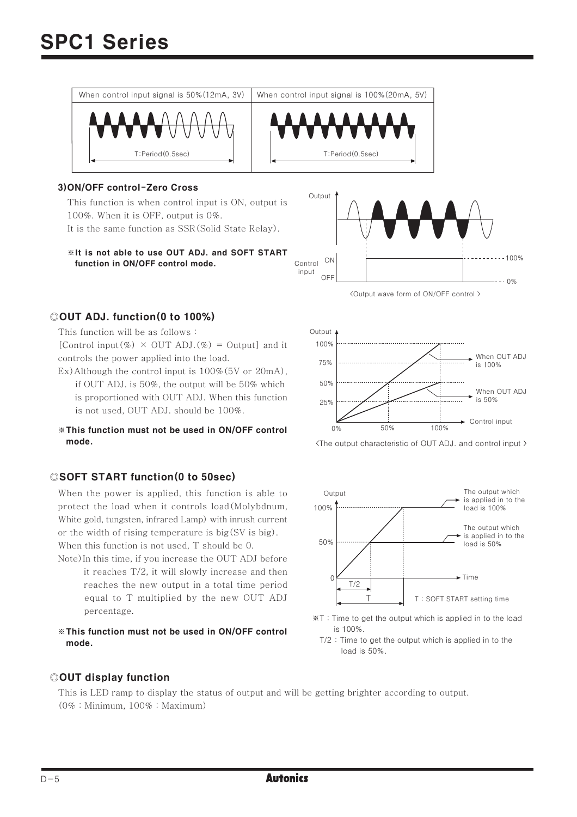

#### 3) ON/OFF control-Zero Cross

This function is when control input is ON, output is 100%. When it is OFF, output is 0%. It is the same function as SSR (Solid State Relay).

\*It is not able to use OUT ADJ, and SOFT START function in ON/OFF control mode.



<Output wave form of ON/OFF control >

#### ©OUT ADJ. function(0 to 100%)

This function will be as follows:

[Control input(%)  $\times$  OUT ADJ.(%) = Output] and it controls the power applied into the load.

- Ex) Although the control input is  $100\%$  (5V or 20mA), if OUT ADJ. is 50%, the output will be 50% which is proportioned with OUT ADJ. When this function is not used, OUT ADJ. should be 100%.
- \*This function must not be used in ON/OFF control mode.

#### ©SOFT START function(0 to 50sec)

When the power is applied, this function is able to protect the load when it controls load (Molybdnum, White gold, tungsten, infrared Lamp) with inrush current or the width of rising temperature is big(SV is big). When this function is not used. T should be 0.

- Note) In this time, if you increase the OUT ADJ before it reaches T/2, it will slowly increase and then reaches the new output in a total time period equal to T multiplied by the new OUT ADJ percentage.
- \*This function must not be used in ON/OFF control mode.



<The output characteristic of OUT ADJ. and control input >



- \*T: Time to get the output which is applied in to the load is 100%.
	- $T/2$ : Time to get the output which is applied in to the load is 50%.

#### ©OUT display function

This is LED ramp to display the status of output and will be getting brighter according to output.  $(0\% : Minimum, 100\% : Maximum)$